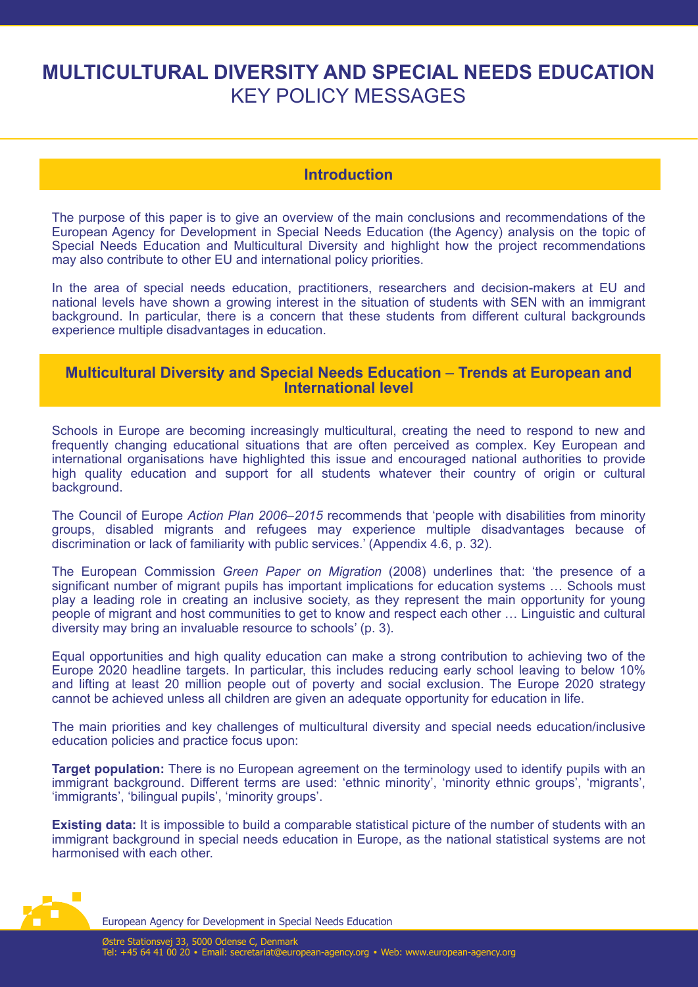# **MULTICULTURAL DIVERSITY AND SPECIAL NEEDS EDUCATION** KEY POLICY MESSAGES

## **Introduction**

The purpose of this paper is to give an overview of the main conclusions and recommendations of the European Agency for Development in Special Needs Education (the Agency) analysis on the topic of Special Needs Education and Multicultural Diversity and highlight how the project recommendations may also contribute to other EU and international policy priorities.

In the area of special needs education, practitioners, researchers and decision-makers at EU and national levels have shown a growing interest in the situation of students with SEN with an immigrant background. In particular, there is a concern that these students from different cultural backgrounds experience multiple disadvantages in education.

### **Multicultural Diversity and Special Needs Education** – **Trends at European and International level**

Schools in Europe are becoming increasingly multicultural, creating the need to respond to new and frequently changing educational situations that are often perceived as complex. Key European and international organisations have highlighted this issue and encouraged national authorities to provide high quality education and support for all students whatever their country of origin or cultural background.

The Council of Europe *Action Plan 2006–2015* recommends that 'people with disabilities from minority groups, disabled migrants and refugees may experience multiple disadvantages because of discrimination or lack of familiarity with public services.' (Appendix 4.6, p. 32).

The European Commission *Green Paper on Migration* (2008) underlines that: 'the presence of a significant number of migrant pupils has important implications for education systems … Schools must play a leading role in creating an inclusive society, as they represent the main opportunity for young people of migrant and host communities to get to know and respect each other … Linguistic and cultural diversity may bring an invaluable resource to schools' (p. 3).

Equal opportunities and high quality education can make a strong contribution to achieving two of the Europe 2020 headline targets. In particular, this includes reducing early school leaving to below 10% and lifting at least 20 million people out of poverty and social exclusion. The Europe 2020 strategy cannot be achieved unless all children are given an adequate opportunity for education in life.

The main priorities and key challenges of multicultural diversity and special needs education/inclusive education policies and practice focus upon:

**Target population:** There is no European agreement on the terminology used to identify pupils with an immigrant background. Different terms are used: 'ethnic minority', 'minority ethnic groups', 'migrants', 'immigrants', 'bilingual pupils', 'minority groups'.

**Existing data:** It is impossible to build a comparable statistical picture of the number of students with an immigrant background in special needs education in Europe, as the national statistical systems are not harmonised with each other.



European Agency for Development in Special Needs Education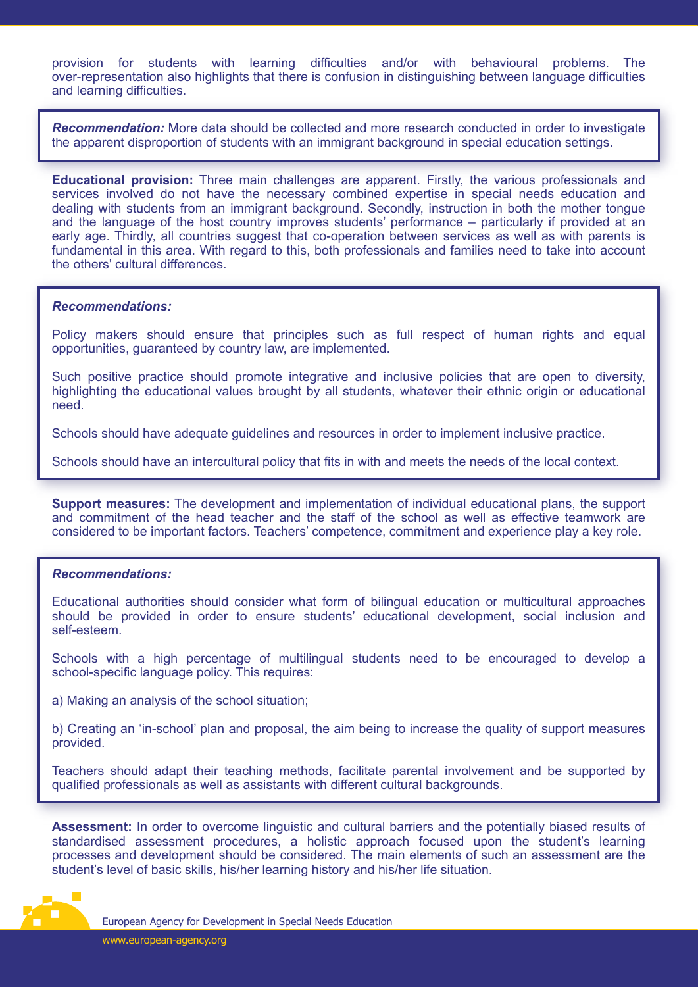provision for students with learning difficulties and/or with behavioural problems. The over-representation also highlights that there is confusion in distinguishing between language difficulties and learning difficulties.

*Recommendation:* More data should be collected and more research conducted in order to investigate the apparent disproportion of students with an immigrant background in special education settings.

**Educational provision:** Three main challenges are apparent. Firstly, the various professionals and services involved do not have the necessary combined expertise in special needs education and dealing with students from an immigrant background. Secondly, instruction in both the mother tongue and the language of the host country improves students' performance – particularly if provided at an early age. Thirdly, all countries suggest that co-operation between services as well as with parents is fundamental in this area. With regard to this, both professionals and families need to take into account the others' cultural differences.

#### *Recommendations:*

Policy makers should ensure that principles such as full respect of human rights and equal opportunities, guaranteed by country law, are implemented.

Such positive practice should promote integrative and inclusive policies that are open to diversity, highlighting the educational values brought by all students, whatever their ethnic origin or educational need.

Schools should have adequate guidelines and resources in order to implement inclusive practice.

Schools should have an intercultural policy that fits in with and meets the needs of the local context.

**Support measures:** The development and implementation of individual educational plans, the support and commitment of the head teacher and the staff of the school as well as effective teamwork are considered to be important factors. Teachers' competence, commitment and experience play a key role.

#### *Recommendations:*

Educational authorities should consider what form of bilingual education or multicultural approaches should be provided in order to ensure students' educational development, social inclusion and self-esteem.

Schools with a high percentage of multilingual students need to be encouraged to develop a school-specific language policy. This requires:

a) Making an analysis of the school situation;

b) Creating an 'in-school' plan and proposal, the aim being to increase the quality of support measures provided.

Teachers should adapt their teaching methods, facilitate parental involvement and be supported by qualified professionals as well as assistants with different cultural backgrounds.

**Assessment:** In order to overcome linguistic and cultural barriers and the potentially biased results of standardised assessment procedures, a holistic approach focused upon the student's learning processes and development should be considered. The main elements of such an assessment are the student's level of basic skills, his/her learning history and his/her life situation.